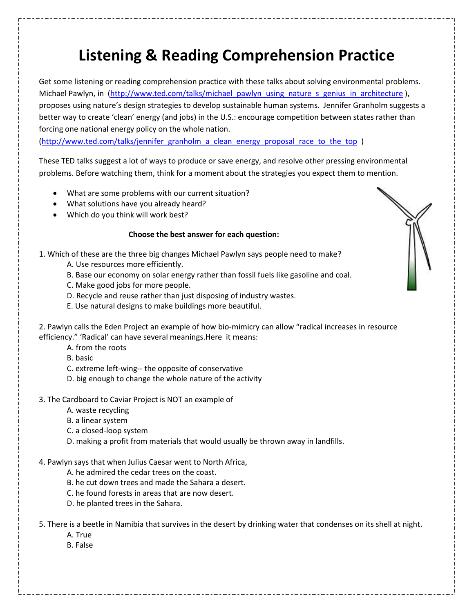# **Listening & Reading Comprehension Practice**

Get some listening or reading comprehension practice with these talks about solving environmental problems. Michael Pawlyn, in (http://www.ted.com/talks/michael\_pawlyn\_using\_nature\_s\_genius\_in\_architecture ), proposes using nature's design strategies to develop sustainable human systems. Jennifer Granholm suggests a better way to create 'clean' energy (and jobs) in the U.S.: encourage competition between states rather than forcing one national energy policy on the whole nation.

(http://www.ted.com/talks/jennifer\_granholm\_a\_clean\_energy\_proposal\_race\_to\_the\_top )

These TED talks suggest a lot of ways to produce or save energy, and resolve other pressing environmental problems. Before watching them, think for a moment about the strategies you expect them to mention.

- What are some problems with our current situation?
- What solutions have you already heard?
- Which do you think will work best?

#### **Choose the best answer for each question:**

1. Which of these are the three big changes Michael Pawlyn says people need to make?

- A. Use resources more efficiently.
- B. Base our economy on solar energy rather than fossil fuels like gasoline and coal.
- C. Make good jobs for more people.
- D. Recycle and reuse rather than just disposing of industry wastes.
- E. Use natural designs to make buildings more beautiful.

2. Pawlyn calls the Eden Project an example of how bio-mimicry can allow "radical increases in resource efficiency." 'Radical' can have several meanings.Here it means:

A. from the roots

B. basic

- C. extreme left-wing-- the opposite of conservative
- D. big enough to change the whole nature of the activity
- 3. The Cardboard to Caviar Project is NOT an example of
	- A. waste recycling
	- B. a linear system
	- C. a closed-loop system
	- D. making a profit from materials that would usually be thrown away in landfills.

#### 4. Pawlyn says that when Julius Caesar went to North Africa,

- A. he admired the cedar trees on the coast.
- B. he cut down trees and made the Sahara a desert.
- C. he found forests in areas that are now desert.
- D. he planted trees in the Sahara.

5. There is a beetle in Namibia that survives in the desert by drinking water that condenses on its shell at night.

- A. True
- B. False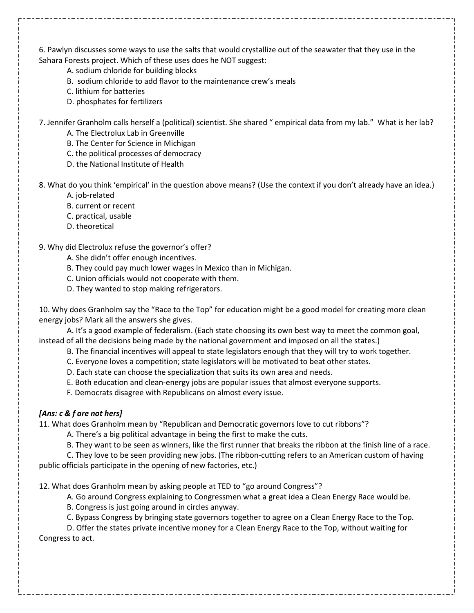6. Pawlyn discusses some ways to use the salts that would crystallize out of the seawater that they use in the Sahara Forests project. Which of these uses does he NOT suggest:

- A. sodium chloride for building blocks
- B. sodium chloride to add flavor to the maintenance crew's meals
- C. lithium for batteries
- D. phosphates for fertilizers

7. Jennifer Granholm calls herself a (political) scientist. She shared " empirical data from my lab." What is her lab?

A. The Electrolux Lab in Greenville

B. The Center for Science in Michigan

C. the political processes of democracy

D. the National Institute of Health

8. What do you think 'empirical' in the question above means? (Use the context if you don't already have an idea.)

A. job-related

B. current or recent

- C. practical, usable
- D. theoretical

9. Why did Electrolux refuse the governor's offer?

A. She didn't offer enough incentives.

B. They could pay much lower wages in Mexico than in Michigan.

- C. Union officials would not cooperate with them.
- D. They wanted to stop making refrigerators.

10. Why does Granholm say the "Race to the Top" for education might be a good model for creating more clean energy jobs? Mark all the answers she gives.

 A. It's a good example of federalism. (Each state choosing its own best way to meet the common goal, instead of all the decisions being made by the national government and imposed on all the states.)

B. The financial incentives will appeal to state legislators enough that they will try to work together.

C. Everyone loves a competition; state legislators will be motivated to beat other states.

D. Each state can choose the specialization that suits its own area and needs.

E. Both education and clean-energy jobs are popular issues that almost everyone supports.

F. Democrats disagree with Republicans on almost every issue.

### *[Ans: c & f are not hers]*

11. What does Granholm mean by "Republican and Democratic governors love to cut ribbons"?

A. There's a big political advantage in being the first to make the cuts.

B. They want to be seen as winners, like the first runner that breaks the ribbon at the finish line of a race.

 C. They love to be seen providing new jobs. (The ribbon-cutting refers to an American custom of having public officials participate in the opening of new factories, etc.)

12. What does Granholm mean by asking people at TED to "go around Congress"?

A. Go around Congress explaining to Congressmen what a great idea a Clean Energy Race would be.

B. Congress is just going around in circles anyway.

C. Bypass Congress by bringing state governors together to agree on a Clean Energy Race to the Top.

 D. Offer the states private incentive money for a Clean Energy Race to the Top, without waiting for Congress to act.